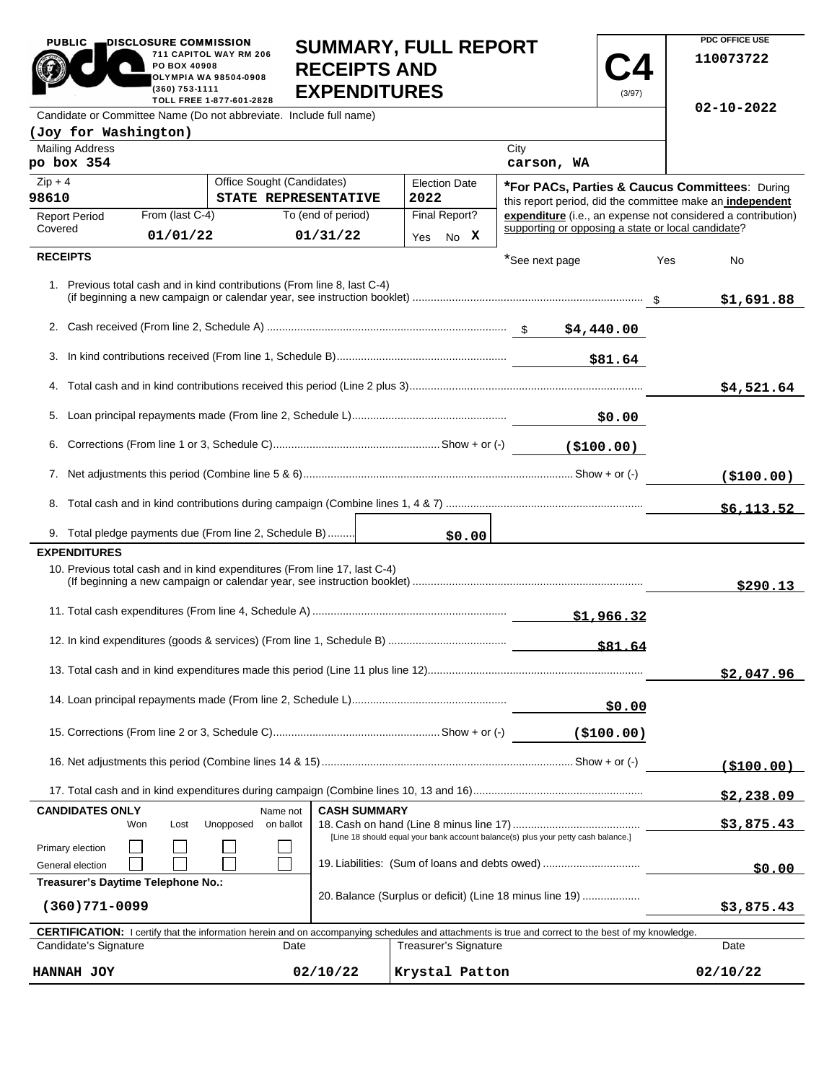| <b>PUBLIC</b><br>DISCLOSURE COMMISSION<br>PO BOX 40908<br>(360) 753-1111                         | 711 CAPITOL WAY RM 206<br>OLYMPIA WA 98504-0908<br>TOLL FREE 1-877-601-2828 | <b>RECEIPTS AND</b><br><b>EXPENDITURES</b> | <b>SUMMARY, FULL REPORT</b>  |                                                    | (3/97)        | PDC OFFICE USE<br>110073722<br>$02 - 10 - 2022$                                                             |
|--------------------------------------------------------------------------------------------------|-----------------------------------------------------------------------------|--------------------------------------------|------------------------------|----------------------------------------------------|---------------|-------------------------------------------------------------------------------------------------------------|
| Candidate or Committee Name (Do not abbreviate. Include full name)                               |                                                                             |                                            |                              |                                                    |               |                                                                                                             |
| (Joy for Washington)<br><b>Mailing Address</b>                                                   |                                                                             |                                            |                              | City                                               |               |                                                                                                             |
| po box 354                                                                                       |                                                                             |                                            |                              | carson, WA                                         |               |                                                                                                             |
| $Zip + 4$<br>98610                                                                               | Office Sought (Candidates)                                                  | STATE REPRESENTATIVE                       | <b>Election Date</b><br>2022 |                                                    |               | *For PACs, Parties & Caucus Committees: During<br>this report period, did the committee make an independent |
| From (last C-4)<br><b>Report Period</b>                                                          |                                                                             | To (end of period)                         | Final Report?                |                                                    |               | expenditure (i.e., an expense not considered a contribution)                                                |
| Covered<br>01/01/22                                                                              |                                                                             | 01/31/22                                   | Yes No X                     | supporting or opposing a state or local candidate? |               |                                                                                                             |
| <b>RECEIPTS</b>                                                                                  |                                                                             |                                            |                              | *See next page                                     |               | Yes<br>No                                                                                                   |
| 1. Previous total cash and in kind contributions (From line 8, last C-4)                         |                                                                             |                                            |                              |                                                    |               | \$1,691.88                                                                                                  |
|                                                                                                  |                                                                             |                                            |                              |                                                    |               |                                                                                                             |
|                                                                                                  |                                                                             |                                            |                              | \$81.64                                            |               |                                                                                                             |
|                                                                                                  |                                                                             |                                            |                              |                                                    |               | \$4,521.64                                                                                                  |
|                                                                                                  |                                                                             |                                            |                              |                                                    |               |                                                                                                             |
|                                                                                                  |                                                                             |                                            |                              |                                                    |               |                                                                                                             |
|                                                                                                  |                                                                             |                                            |                              |                                                    |               | ( \$100.00)                                                                                                 |
|                                                                                                  |                                                                             |                                            |                              |                                                    |               | \$6,113.52                                                                                                  |
| 9. Total pledge payments due (From line 2, Schedule B)                                           |                                                                             |                                            | \$0.00                       |                                                    |               |                                                                                                             |
| <b>EXPENDITURES</b><br>10. Previous total cash and in kind expenditures (From line 17, last C-4) |                                                                             |                                            |                              |                                                    |               |                                                                                                             |
|                                                                                                  |                                                                             |                                            |                              |                                                    |               | \$290.13                                                                                                    |
|                                                                                                  |                                                                             |                                            |                              | \$81.64                                            |               |                                                                                                             |
|                                                                                                  |                                                                             |                                            |                              |                                                    |               | <u>\$2,047.96</u>                                                                                           |
|                                                                                                  |                                                                             |                                            |                              |                                                    | <u>\$0.00</u> |                                                                                                             |
|                                                                                                  |                                                                             |                                            |                              | ( \$100.00)                                        |               |                                                                                                             |
|                                                                                                  |                                                                             |                                            |                              |                                                    |               | <u>(\$100.00)</u>                                                                                           |
|                                                                                                  |                                                                             |                                            |                              |                                                    |               | \$2,238.09                                                                                                  |

|                                    |     |                                                          |           |            |                     |                              |                                                                                                                                                            | <u>,,,,,,,,,</u> |  |
|------------------------------------|-----|----------------------------------------------------------|-----------|------------|---------------------|------------------------------|------------------------------------------------------------------------------------------------------------------------------------------------------------|------------------|--|
| <b>CANDIDATES ONLY</b>             |     |                                                          |           | Name not   | <b>CASH SUMMARY</b> |                              |                                                                                                                                                            |                  |  |
|                                    | Won | Lost                                                     | Unopposed | on ballot  |                     |                              |                                                                                                                                                            | \$3,875.43       |  |
| Primary election                   |     |                                                          |           |            |                     |                              | [Line 18 should equal your bank account balance(s) plus your petty cash balance.]                                                                          |                  |  |
| General election                   |     |                                                          |           |            |                     |                              | 19. Liabilities: (Sum of loans and debts owed)                                                                                                             | \$0.00           |  |
| Treasurer's Daytime Telephone No.: |     |                                                          |           |            |                     |                              |                                                                                                                                                            |                  |  |
| (360)771-0099                      |     | 20. Balance (Surplus or deficit) (Line 18 minus line 19) |           | \$3,875.43 |                     |                              |                                                                                                                                                            |                  |  |
|                                    |     |                                                          |           |            |                     |                              | <b>CERTIFICATION:</b> I certify that the information herein and on accompanying schedules and attachments is true and correct to the best of my knowledge. |                  |  |
| Candidate's Signature              |     |                                                          |           | Date       |                     | <b>Treasurer's Signature</b> |                                                                                                                                                            | Date             |  |
| HANNAH JOY                         |     |                                                          |           |            | 02/10/22            | Krystal Patton               |                                                                                                                                                            | 02/10/22         |  |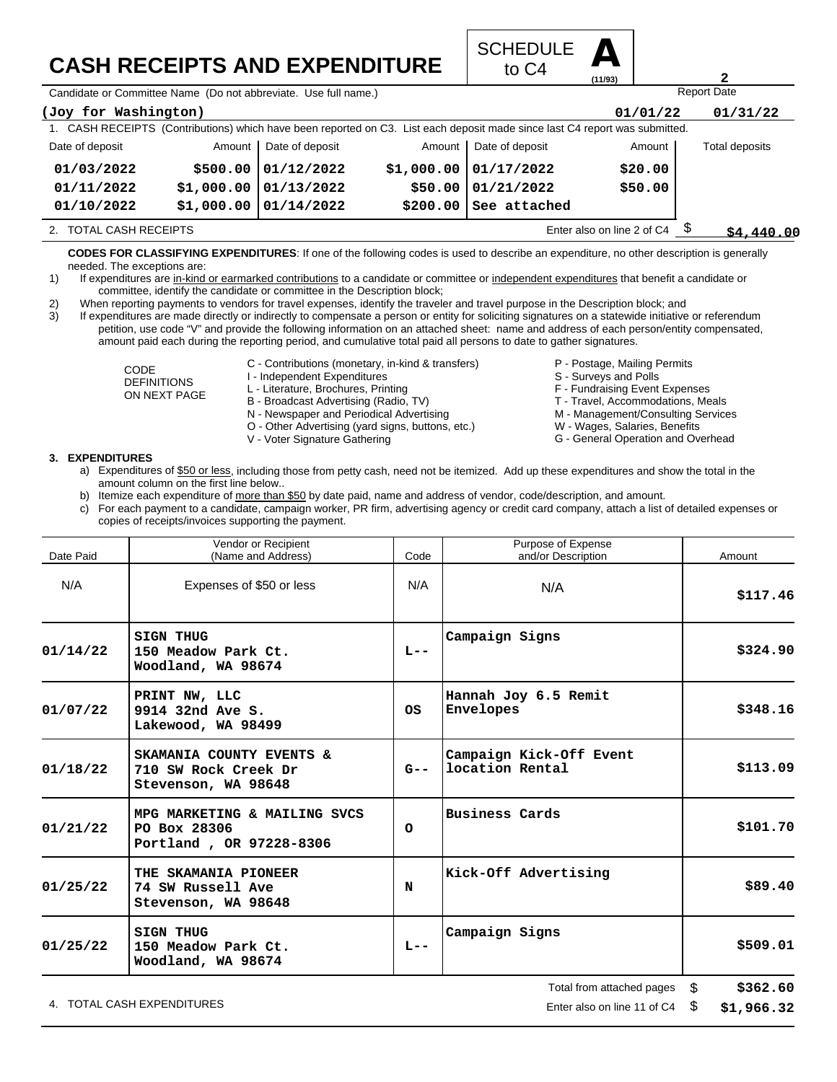## **CASH RECEIPTS AND EXPENDITURE**



Candidate or Committee Name (Do not abbreviate. Use full name.)

| (Joy for Washington)                                 |            |                          |          |                                                                                                                             | 01/01/22 | 01/31/22       |
|------------------------------------------------------|------------|--------------------------|----------|-----------------------------------------------------------------------------------------------------------------------------|----------|----------------|
|                                                      |            |                          |          | 1. CASH RECEIPTS (Contributions) which have been reported on C3. List each deposit made since last C4 report was submitted. |          |                |
| Date of deposit                                      | Amount     | Date of deposit          | Amount   | Date of deposit                                                                                                             | Amount   | Total deposits |
| 01/03/2022                                           |            | $$500.00$ $01/12/2022$   |          | $$1,000.00$ 01/17/2022                                                                                                      | \$20.00  |                |
| 01/11/2022                                           | \$1,000.00 | 101/13/2022              | \$50.00  | 01/21/2022                                                                                                                  | \$50.00  |                |
| 01/10/2022                                           |            | $$1,000.00$ $01/14/2022$ | \$200.00 | See attached                                                                                                                |          |                |
| Enter also on line 2 of C4<br>2. TOTAL CASH RECEIPTS |            |                          |          |                                                                                                                             |          | \$4.440.00     |

**CODES FOR CLASSIFYING EXPENDITURES**: If one of the following codes is used to describe an expenditure, no other description is generally needed. The exceptions are:

1) If expenditures are in-kind or earmarked contributions to a candidate or committee or independent expenditures that benefit a candidate or committee, identify the candidate or committee in the Description block;

2) When reporting payments to vendors for travel expenses, identify the traveler and travel purpose in the Description block; and

3) If expenditures are made directly or indirectly to compensate a person or entity for soliciting signatures on a statewide initiative or referendum petition, use code "V" and provide the following information on an attached sheet: name and address of each person/entity compensated, amount paid each during the reporting period, and cumulative total paid all persons to date to gather signatures.

> CODE DEFINITIONS ON NEXT PAGE

- C Contributions (monetary, in-kind & transfers)
- I Independent Expenditures
- L Literature, Brochures, Printing
- B Broadcast Advertising (Radio, TV)
- N Newspaper and Periodical Advertising
- O Other Advertising (yard signs, buttons, etc.)
- V Voter Signature Gathering
- P Postage, Mailing Permits
- S Surveys and Polls
- 
- F Fundraising Event Expenses
- T Travel, Accommodations, Meals

Report Date

**2**

- M Management/Consulting Services W - Wages, Salaries, Benefits
- G General Operation and Overhead

#### **3. EXPENDITURES**

- a) Expenditures of \$50 or less, including those from petty cash, need not be itemized. Add up these expenditures and show the total in the amount column on the first line below..
- b) Itemize each expenditure of more than \$50 by date paid, name and address of vendor, code/description, and amount.
- c) For each payment to a candidate, campaign worker, PR firm, advertising agency or credit card company, attach a list of detailed expenses or copies of receipts/invoices supporting the payment.

| Vendor or Recipient<br>Date Paid<br>(Name and Address) |                                                                         | Code      | Purpose of Expense<br>and/or Description   | Amount         |
|--------------------------------------------------------|-------------------------------------------------------------------------|-----------|--------------------------------------------|----------------|
| N/A                                                    | Expenses of \$50 or less                                                | N/A       | N/A                                        | \$117.46       |
| 01/14/22                                               | <b>SIGN THUG</b><br>150 Meadow Park Ct.<br>Woodland, WA 98674           | $L - -$   | Campaign Signs                             | \$324.90       |
| 01/07/22                                               | PRINT NW, LLC<br>9914 32nd Ave S.<br>Lakewood, WA 98499                 | <b>OS</b> | Hannah Joy 6.5 Remit<br>Envelopes          | \$348.16       |
| 01/18/22                                               | SKAMANIA COUNTY EVENTS &<br>710 SW Rock Creek Dr<br>Stevenson, WA 98648 | G--       | Campaign Kick-Off Event<br>location Rental | \$113.09       |
| 01/21/22                                               | MPG MARKETING & MAILING SVCS<br>PO Box 28306<br>Portland, OR 97228-8306 | $\circ$   | <b>Business Cards</b>                      | \$101.70       |
| 01/25/22                                               | THE SKAMANIA PIONEER<br>74 SW Russell Ave<br>Stevenson, WA 98648        | N         | Kick-Off Advertising                       | \$89.40        |
| 01/25/22                                               | <b>SIGN THUG</b><br>150 Meadow Park Ct.<br>Woodland, WA 98674           | $L - -$   | Campaign Signs                             | \$509.01       |
|                                                        |                                                                         |           | Total from attached nages                  | <b>8369 60</b> |

4. TOTAL CASH EXPENDITURES **EXAMPLE 2008** 2012 12:00 THE RISP ON LINE 2012 12:00 THE RISP ON LINE 11 Of C4 \$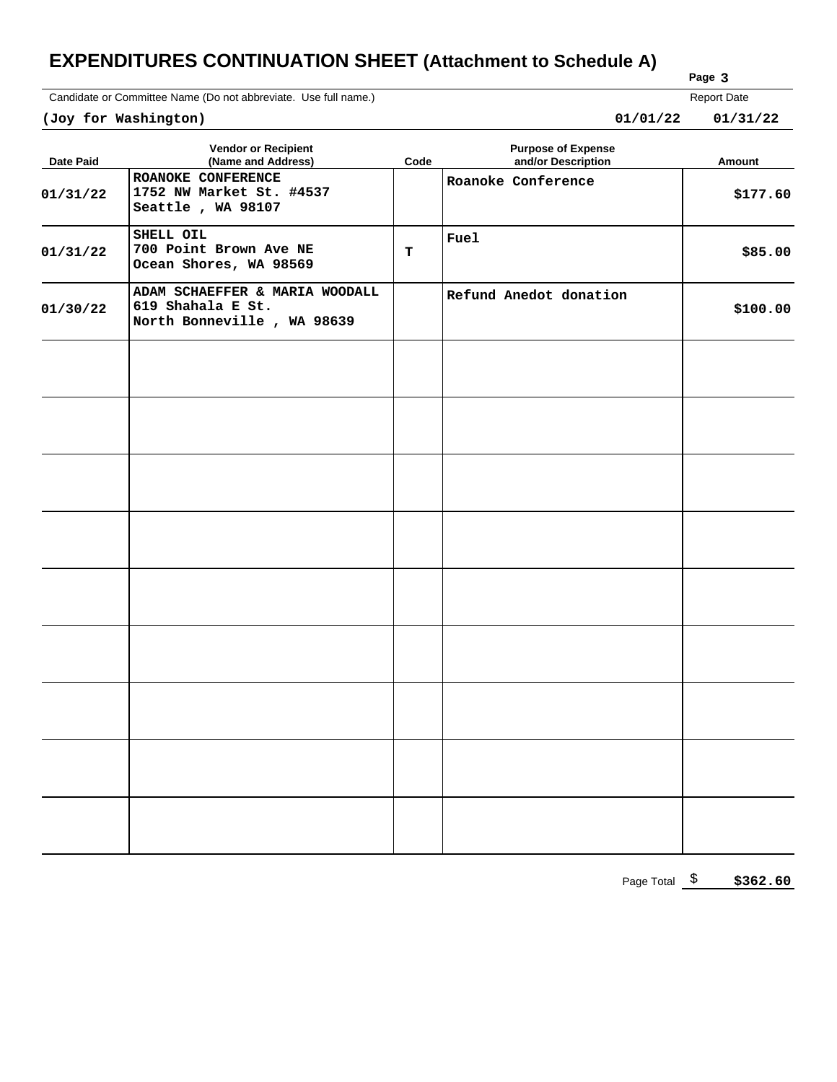### **EXPENDITURES CONTINUATION SHEET (Attachment to Schedule A)**

Candidate or Committee Name (Do not abbreviate. Use full name.)

| Report Date |
|-------------|
|             |

**Page 3**

| (Joy for Washington) |                                                                                   |      | 01/01/22<br>01/31/22                            |          |  |  |  |
|----------------------|-----------------------------------------------------------------------------------|------|-------------------------------------------------|----------|--|--|--|
| <b>Date Paid</b>     | <b>Vendor or Recipient</b><br>(Name and Address)                                  | Code | <b>Purpose of Expense</b><br>and/or Description | Amount   |  |  |  |
| 01/31/22             | ROANOKE CONFERENCE<br>1752 NW Market St. #4537<br>Seattle, WA 98107               |      | Roanoke Conference                              | \$177.60 |  |  |  |
| 01/31/22             | SHELL OIL<br>700 Point Brown Ave NE<br>Ocean Shores, WA 98569                     | т    | <b>Fuel</b>                                     | \$85.00  |  |  |  |
| 01/30/22             | ADAM SCHAEFFER & MARIA WOODALL<br>619 Shahala E St.<br>North Bonneville, WA 98639 |      | Refund Anedot donation                          | \$100.00 |  |  |  |
|                      |                                                                                   |      |                                                 |          |  |  |  |
|                      |                                                                                   |      |                                                 |          |  |  |  |
|                      |                                                                                   |      |                                                 |          |  |  |  |
|                      |                                                                                   |      |                                                 |          |  |  |  |
|                      |                                                                                   |      |                                                 |          |  |  |  |
|                      |                                                                                   |      |                                                 |          |  |  |  |
|                      |                                                                                   |      |                                                 |          |  |  |  |
|                      |                                                                                   |      |                                                 |          |  |  |  |
|                      |                                                                                   |      |                                                 |          |  |  |  |

Page Total  $\frac{\$}{}$ **\$362.60**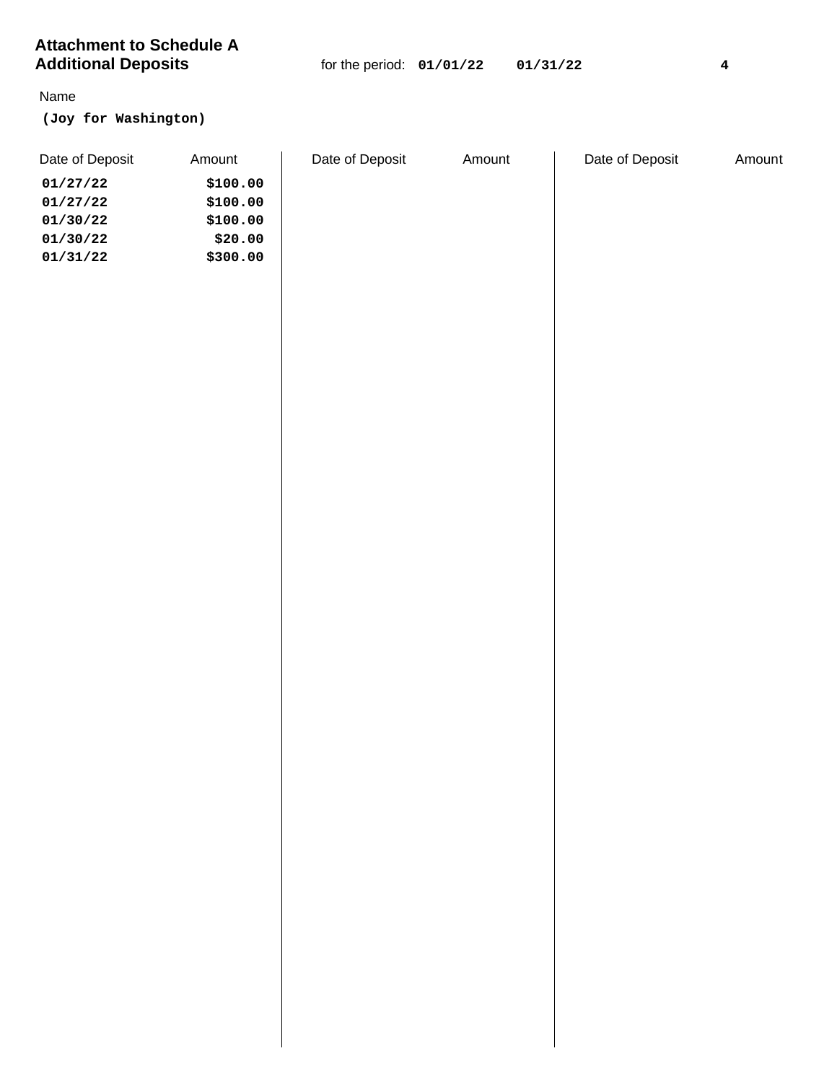| <b>Additional Deposits</b> |          | for the period: $01/01/22$ |        | 01/31/22 |                 | $\bf{4}$ |
|----------------------------|----------|----------------------------|--------|----------|-----------------|----------|
| Name                       |          |                            |        |          |                 |          |
| (Joy for Washington)       |          |                            |        |          |                 |          |
| Date of Deposit            | Amount   | Date of Deposit            | Amount |          | Date of Deposit | Amount   |
| 01/27/22                   | \$100.00 |                            |        |          |                 |          |
| 01/27/22                   | \$100.00 |                            |        |          |                 |          |
| 01/30/22                   | \$100.00 |                            |        |          |                 |          |
| 01/30/22                   | \$20.00  |                            |        |          |                 |          |
| 01/31/22                   | \$300.00 |                            |        |          |                 |          |
|                            |          |                            |        |          |                 |          |
|                            |          |                            |        |          |                 |          |
|                            |          |                            |        |          |                 |          |
|                            |          |                            |        |          |                 |          |
|                            |          |                            |        |          |                 |          |
|                            |          |                            |        |          |                 |          |
|                            |          |                            |        |          |                 |          |
|                            |          |                            |        |          |                 |          |
|                            |          |                            |        |          |                 |          |
|                            |          |                            |        |          |                 |          |
|                            |          |                            |        |          |                 |          |
|                            |          |                            |        |          |                 |          |
|                            |          |                            |        |          |                 |          |
|                            |          |                            |        |          |                 |          |
|                            |          |                            |        |          |                 |          |
|                            |          |                            |        |          |                 |          |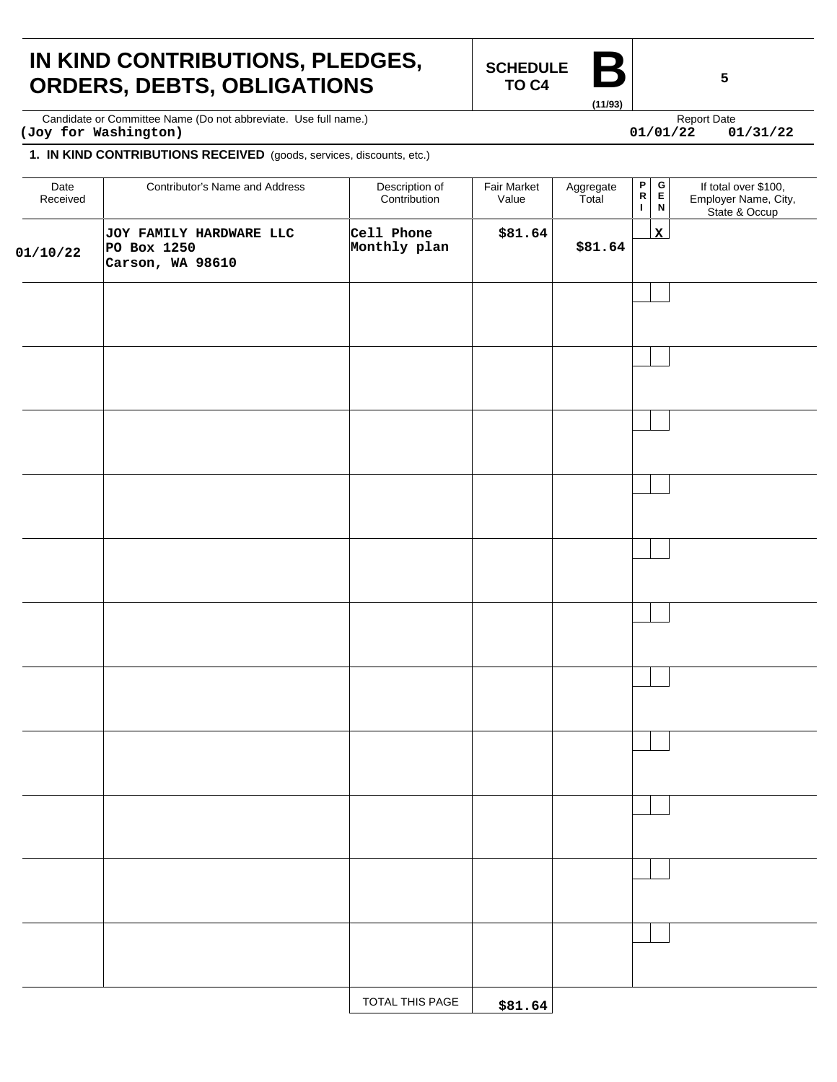## **IN KIND CONTRIBUTIONS, PLEDGES, ORDERS, DEBTS, OBLIGATIONS**

**SCHEDULE TO C4** 

**(11/93)**

 $01/01/22$ 

Candidate or Committee Name (Do not abbreviate. Use full name.) Candidate express and the expect Date Report Date **(Joy for Washington) 01/01/22 01/31/22**

#### **1. IN KIND CONTRIBUTIONS RECEIVED** (goods, services, discounts, etc.)

| Date<br>Received | Contributor's Name and Address                             | Description of<br>Contribution | Fair Market<br>Value | Aggregate<br>Total | $\mathsf P$<br>$\, {\bf R}$<br>$\mathbf{I}$ | $\blacksquare$<br>$\Omega$<br>$\,$ N | If total over \$100,<br>Employer Name, City,<br>State & Occup |
|------------------|------------------------------------------------------------|--------------------------------|----------------------|--------------------|---------------------------------------------|--------------------------------------|---------------------------------------------------------------|
| 01/10/22         | JOY FAMILY HARDWARE LLC<br>PO Box 1250<br>Carson, WA 98610 | Cell Phone<br>Monthly plan     | \$81.64              | \$81.64            |                                             | $\mathbf{x}$                         |                                                               |
|                  |                                                            |                                |                      |                    |                                             |                                      |                                                               |
|                  |                                                            |                                |                      |                    |                                             |                                      |                                                               |
|                  |                                                            |                                |                      |                    |                                             |                                      |                                                               |
|                  |                                                            |                                |                      |                    |                                             |                                      |                                                               |
|                  |                                                            |                                |                      |                    |                                             |                                      |                                                               |
|                  |                                                            |                                |                      |                    |                                             |                                      |                                                               |
|                  |                                                            |                                |                      |                    |                                             |                                      |                                                               |
|                  |                                                            |                                |                      |                    |                                             |                                      |                                                               |
|                  |                                                            |                                |                      |                    |                                             |                                      |                                                               |
|                  |                                                            |                                |                      |                    |                                             |                                      |                                                               |
|                  |                                                            |                                |                      |                    |                                             |                                      |                                                               |
|                  |                                                            | TOTAL THIS PAGE                | \$81.64              |                    |                                             |                                      |                                                               |

**5**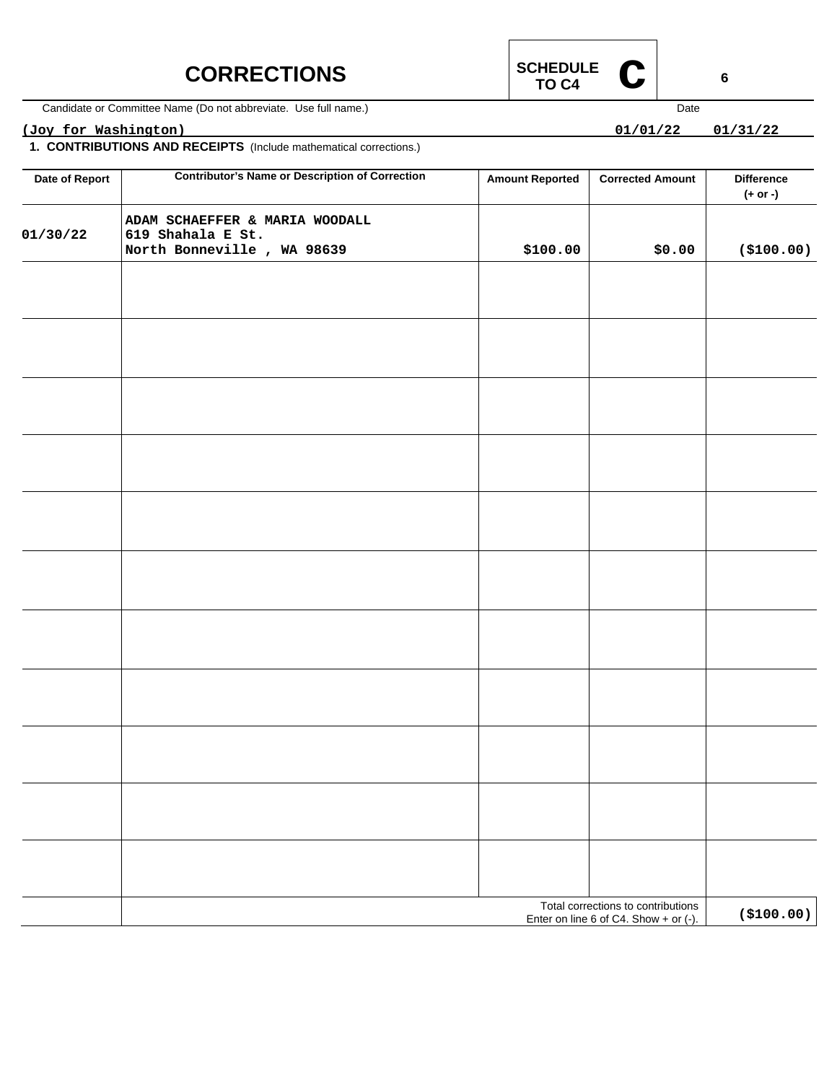### **CORRECTIONS**



Candidate or Committee Name (Do not abbreviate. Use full name.)

### **(Joy for Washington) 01/01/22 01/31/22**

**1. CONTRIBUTIONS AND RECEIPTS** (Include mathematical corrections.)

| Date of Report | <b>Contributor's Name or Description of Correction</b>                            | <b>Amount Reported</b> | <b>Corrected Amount</b>                                                       | <b>Difference</b><br>(+ or -) |
|----------------|-----------------------------------------------------------------------------------|------------------------|-------------------------------------------------------------------------------|-------------------------------|
| 01/30/22       | ADAM SCHAEFFER & MARIA WOODALL<br>619 Shahala E St.<br>North Bonneville, WA 98639 | \$100.00               | \$0.00                                                                        | ( \$100.00)                   |
|                |                                                                                   |                        |                                                                               |                               |
|                |                                                                                   |                        |                                                                               |                               |
|                |                                                                                   |                        |                                                                               |                               |
|                |                                                                                   |                        |                                                                               |                               |
|                |                                                                                   |                        |                                                                               |                               |
|                |                                                                                   |                        |                                                                               |                               |
|                |                                                                                   |                        |                                                                               |                               |
|                |                                                                                   |                        |                                                                               |                               |
|                |                                                                                   |                        |                                                                               |                               |
|                |                                                                                   |                        |                                                                               |                               |
|                |                                                                                   |                        |                                                                               |                               |
|                |                                                                                   |                        |                                                                               |                               |
|                |                                                                                   |                        |                                                                               |                               |
|                |                                                                                   |                        | Total corrections to contributions<br>Enter on line 6 of C4. Show $+$ or (-). | ( \$100.00)                   |



 $01/01/22$ 

Date